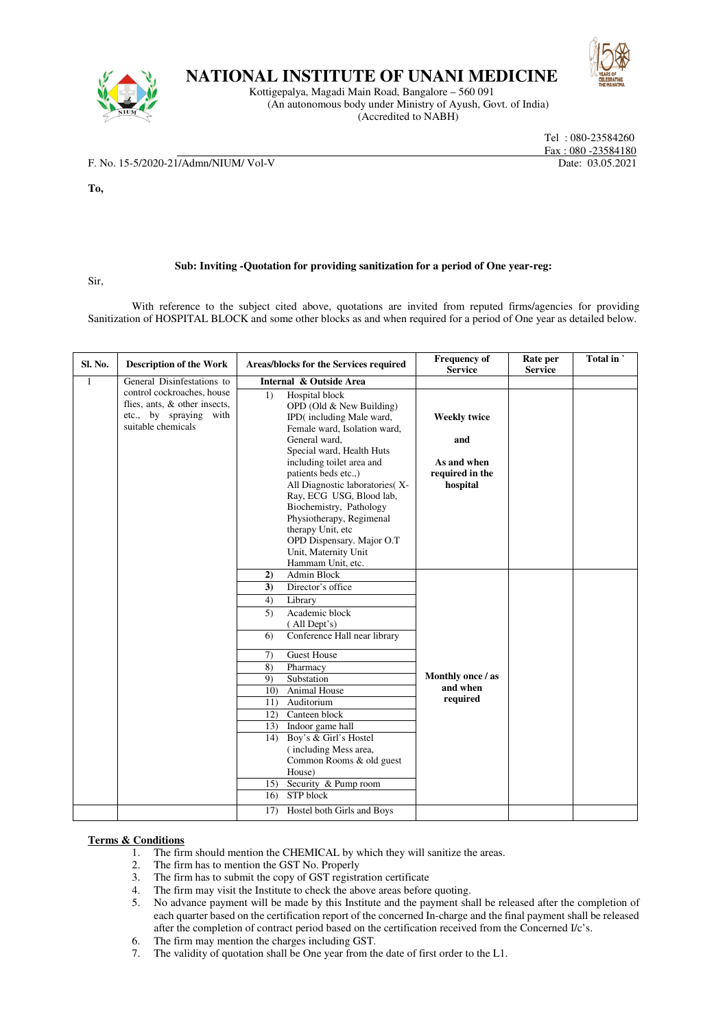

## **NATIONAL INSTITUTE OF UNANI MEDICINE**

Kottigepalya, Magadi Main Road, Bangalore – 560 091 (An autonomous body under Ministry of Ayush, Govt. of India) (Accredited to NABH)



 Tel : 080-23584260 Fax : 080 -23584180

F. No. 15-5/2020-21/Admn/NIUM/ Vol-V Date: 03.05.2021

**To,** 

## **Sub: Inviting -Quotation for providing sanitization for a period of One year-reg:**

Sir,

With reference to the subject cited above, quotations are invited from reputed firms/agencies for providing Sanitization of HOSPITAL BLOCK and some other blocks as and when required for a period of One year as detailed below.

| Sl. No. | <b>Description of the Work</b>                                                                              | Areas/blocks for the Services required                                                                                                                                                                                                                                                                                                                                                                                                                                            | <b>Frequency of</b><br><b>Service</b>     | Rate per<br><b>Service</b> | Total in |
|---------|-------------------------------------------------------------------------------------------------------------|-----------------------------------------------------------------------------------------------------------------------------------------------------------------------------------------------------------------------------------------------------------------------------------------------------------------------------------------------------------------------------------------------------------------------------------------------------------------------------------|-------------------------------------------|----------------------------|----------|
| 1       | General Disinfestations to                                                                                  | Internal & Outside Area                                                                                                                                                                                                                                                                                                                                                                                                                                                           |                                           |                            |          |
|         | control cockroaches, house<br>flies, ants, & other insects,<br>etc., by spraying with<br>suitable chemicals | Hospital block<br>1)<br>OPD (Old $&$ New Building)<br>IPD(including Male ward,<br>Female ward, Isolation ward,<br>General ward,<br>Special ward, Health Huts<br>including toilet area and                                                                                                                                                                                                                                                                                         | <b>Weekly twice</b><br>and<br>As and when |                            |          |
|         |                                                                                                             | patients beds etc.,)<br>All Diagnostic laboratories(X-<br>Ray, ECG USG, Blood lab,<br>Biochemistry, Pathology<br>Physiotherapy, Regimenal<br>therapy Unit, etc<br>OPD Dispensary. Major O.T<br>Unit, Maternity Unit<br>Hammam Unit, etc.                                                                                                                                                                                                                                          | required in the<br>hospital               |                            |          |
|         |                                                                                                             | 2)<br>Admin Block<br>Director's office<br>3)<br>4)<br>Library<br>Academic block<br>5)<br>(All Dept's)<br>Conference Hall near library<br>6)<br><b>Guest House</b><br>7)<br>8)<br>Pharmacy<br>Substation<br>9)<br><b>Animal House</b><br>10 <sub>0</sub><br>Auditorium<br>11)<br>Canteen block<br>12)<br>Indoor game hall<br>13)<br>Boy's & Girl's Hostel<br>14)<br>(including Mess area,<br>Common Rooms & old guest<br>House)<br>Security & Pump room<br>15)<br>STP block<br>16) | Monthly once / as<br>and when<br>required |                            |          |
|         |                                                                                                             | Hostel both Girls and Boys<br>17)                                                                                                                                                                                                                                                                                                                                                                                                                                                 |                                           |                            |          |

## **Terms & Conditions**

- 1. The firm should mention the CHEMICAL by which they will sanitize the areas.
- 2. The firm has to mention the GST No. Properly
- 3. The firm has to submit the copy of GST registration certificate
- 
- 4. The firm may visit the Institute to check the above areas before quoting.<br>5. No advance payment will be made by this Institute and the navment shall 5. No advance payment will be made by this Institute and the payment shall be released after the completion of each quarter based on the certification report of the concerned In-charge and the final payment shall be released after the completion of contract period based on the certification received from the Concerned I/c's.
- 6. The firm may mention the charges including GST.
- 7. The validity of quotation shall be One year from the date of first order to the L1.